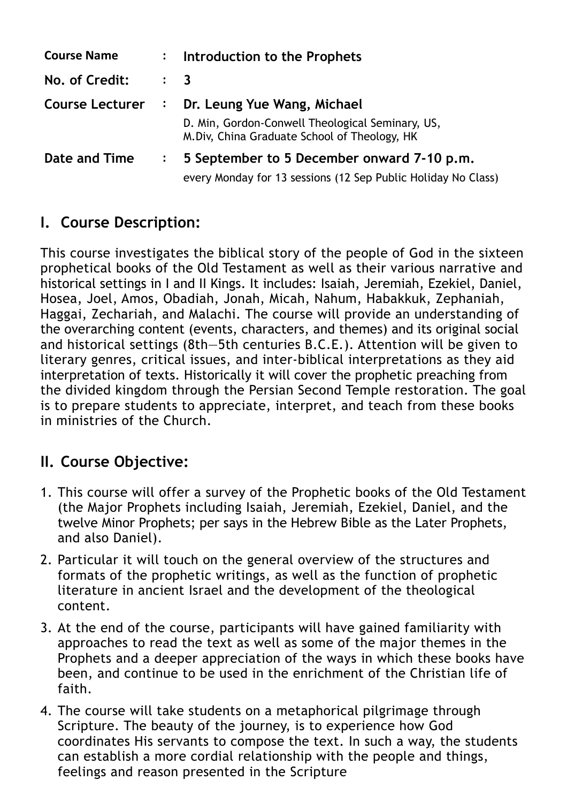| <b>Course Name</b> | $\mathbf{L}$   | Introduction to the Prophets                                                                      |
|--------------------|----------------|---------------------------------------------------------------------------------------------------|
| No. of Credit:     |                | $\therefore$ 3                                                                                    |
| Course Lecturer :  |                | Dr. Leung Yue Wang, Michael                                                                       |
|                    |                | D. Min, Gordon-Conwell Theological Seminary, US,<br>M. Div, China Graduate School of Theology, HK |
| Date and Time      | $\ddot{\cdot}$ | 5 September to 5 December onward 7-10 p.m.                                                        |
|                    |                | every Monday for 13 sessions (12 Sep Public Holiday No Class)                                     |

### **I. Course Description:**

This course investigates the biblical story of the people of God in the sixteen prophetical books of the Old Testament as well as their various narrative and historical settings in I and II Kings. It includes: Isaiah, Jeremiah, Ezekiel, Daniel, Hosea, Joel, Amos, Obadiah, Jonah, Micah, Nahum, Habakkuk, Zephaniah, Haggai, Zechariah, and Malachi. The course will provide an understanding of the overarching content (events, characters, and themes) and its original social and historical settings (8th—5th centuries B.C.E.). Attention will be given to literary genres, critical issues, and inter-biblical interpretations as they aid interpretation of texts. Historically it will cover the prophetic preaching from the divided kingdom through the Persian Second Temple restoration. The goal is to prepare students to appreciate, interpret, and teach from these books in ministries of the Church.

### **II. Course Objective:**

- 1. This course will offer a survey of the Prophetic books of the Old Testament (the Major Prophets including Isaiah, Jeremiah, Ezekiel, Daniel, and the twelve Minor Prophets; per says in the Hebrew Bible as the Later Prophets, and also Daniel).
- 2. Particular it will touch on the general overview of the structures and formats of the prophetic writings, as well as the function of prophetic literature in ancient Israel and the development of the theological content.
- 3. At the end of the course, participants will have gained familiarity with approaches to read the text as well as some of the major themes in the Prophets and a deeper appreciation of the ways in which these books have been, and continue to be used in the enrichment of the Christian life of faith.
- 4. The course will take students on a metaphorical pilgrimage through Scripture. The beauty of the journey, is to experience how God coordinates His servants to compose the text. In such a way, the students can establish a more cordial relationship with the people and things, feelings and reason presented in the Scripture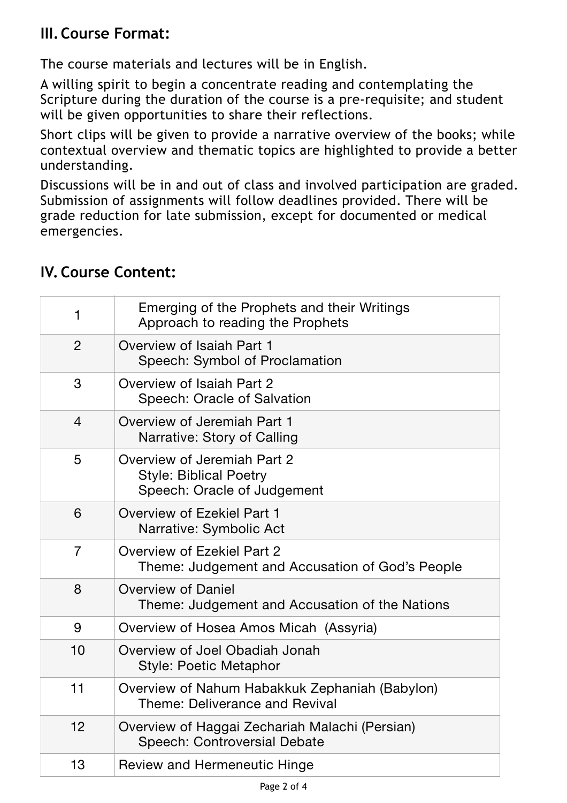# **III.Course Format:**

The course materials and lectures will be in English.

A willing spirit to begin a concentrate reading and contemplating the Scripture during the duration of the course is a pre-requisite; and student will be given opportunities to share their reflections.

Short clips will be given to provide a narrative overview of the books; while contextual overview and thematic topics are highlighted to provide a better understanding.

Discussions will be in and out of class and involved participation are graded. Submission of assignments will follow deadlines provided. There will be grade reduction for late submission, except for documented or medical emergencies.

| $\mathbf{1}$   | Emerging of the Prophets and their Writings<br>Approach to reading the Prophets             |
|----------------|---------------------------------------------------------------------------------------------|
| $\overline{2}$ | Overview of Isaiah Part 1<br>Speech: Symbol of Proclamation                                 |
| 3              | Overview of Isaiah Part 2<br>Speech: Oracle of Salvation                                    |
| $\overline{4}$ | Overview of Jeremiah Part 1<br>Narrative: Story of Calling                                  |
| 5              | Overview of Jeremiah Part 2<br><b>Style: Biblical Poetry</b><br>Speech: Oracle of Judgement |
| 6              | Overview of Ezekiel Part 1<br>Narrative: Symbolic Act                                       |
| $\overline{7}$ | Overview of Ezekiel Part 2<br>Theme: Judgement and Accusation of God's People               |
| 8              | <b>Overview of Daniel</b><br>Theme: Judgement and Accusation of the Nations                 |
| 9              | Overview of Hosea Amos Micah (Assyria)                                                      |
| 10             | Overview of Joel Obadiah Jonah<br><b>Style: Poetic Metaphor</b>                             |
| 11             | Overview of Nahum Habakkuk Zephaniah (Babylon)<br>Theme: Deliverance and Revival            |
| 12             | Overview of Haggai Zechariah Malachi (Persian)<br><b>Speech: Controversial Debate</b>       |
| 13             | <b>Review and Hermeneutic Hinge</b>                                                         |

### **IV. Course Content:**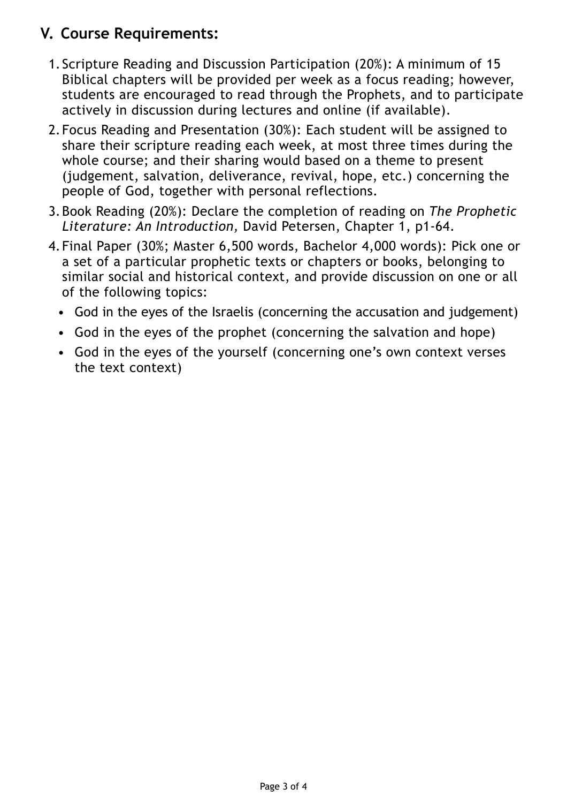# **V. Course Requirements:**

- 1. Scripture Reading and Discussion Participation (20%): A minimum of 15 Biblical chapters will be provided per week as a focus reading; however, students are encouraged to read through the Prophets, and to participate actively in discussion during lectures and online (if available).
- 2.Focus Reading and Presentation (30%): Each student will be assigned to share their scripture reading each week, at most three times during the whole course; and their sharing would based on a theme to present (judgement, salvation, deliverance, revival, hope, etc.) concerning the people of God, together with personal reflections.
- 3.Book Reading (20%): Declare the completion of reading on *The Prophetic Literature: An Introduction,* David Petersen, Chapter 1, p1-64.
- 4.Final Paper (30%; Master 6,500 words, Bachelor 4,000 words): Pick one or a set of a particular prophetic texts or chapters or books, belonging to similar social and historical context, and provide discussion on one or all of the following topics:
	- God in the eyes of the Israelis (concerning the accusation and judgement)
	- God in the eyes of the prophet (concerning the salvation and hope)
	- God in the eyes of the yourself (concerning one's own context verses the text context)